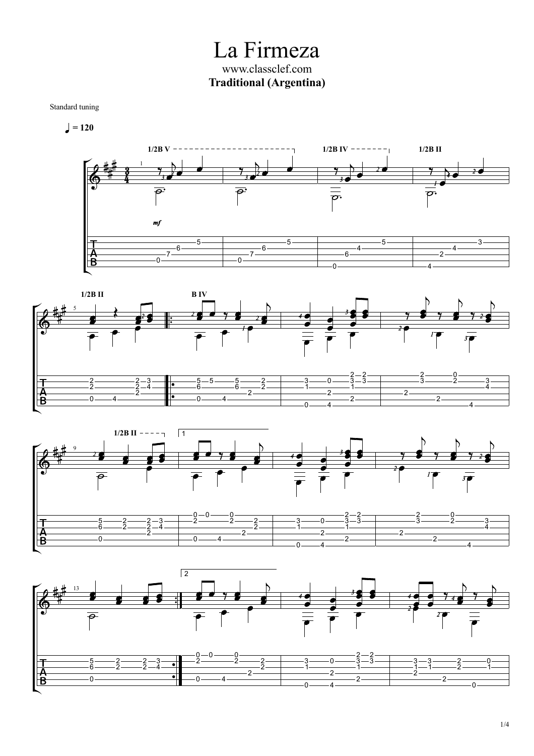La Firmeza www.classclef.com **Traditional (Argentina)**

Standard tuning

$$
\blacksquare = 120
$$







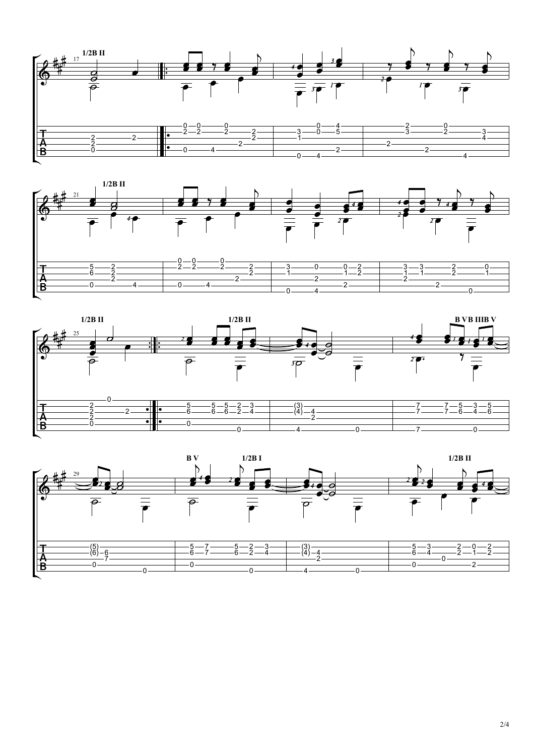





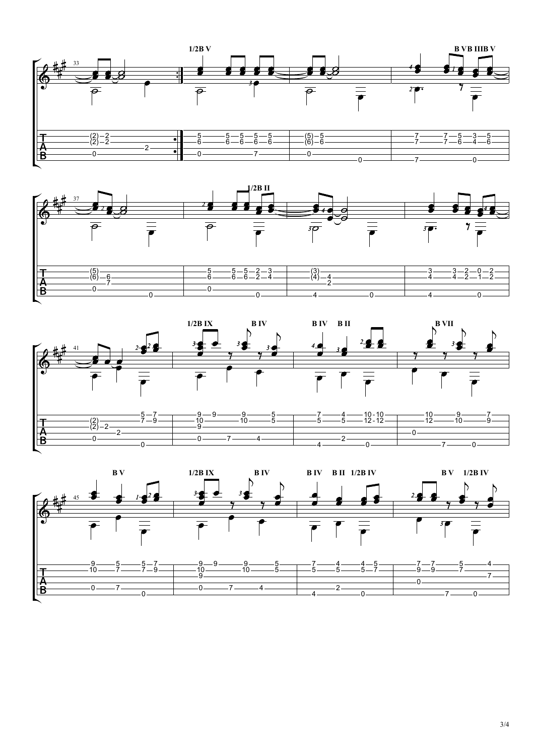